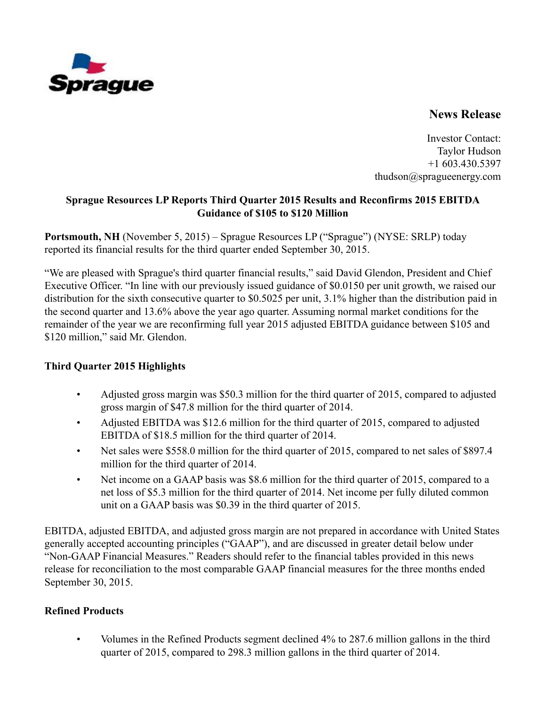

# **News Release**

Investor Contact: Taylor Hudson +1 603.430.5397 thudson@spragueenergy.com

### **Sprague Resources LP Reports Third Quarter 2015 Results and Reconfirms 2015 EBITDA Guidance of \$105 to \$120 Million**

**Portsmouth, NH** (November 5, 2015) – Sprague Resources LP ("Sprague") (NYSE: SRLP) today reported its financial results for the third quarter ended September 30, 2015.

"We are pleased with Sprague's third quarter financial results," said David Glendon, President and Chief Executive Officer. "In line with our previously issued guidance of \$0.0150 per unit growth, we raised our distribution for the sixth consecutive quarter to \$0.5025 per unit, 3.1% higher than the distribution paid in the second quarter and 13.6% above the year ago quarter. Assuming normal market conditions for the remainder of the year we are reconfirming full year 2015 adjusted EBITDA guidance between \$105 and \$120 million," said Mr. Glendon.

# **Third Quarter 2015 Highlights**

- Adjusted gross margin was \$50.3 million for the third quarter of 2015, compared to adjusted gross margin of \$47.8 million for the third quarter of 2014.
- Adjusted EBITDA was \$12.6 million for the third quarter of 2015, compared to adjusted EBITDA of \$18.5 million for the third quarter of 2014.
- Net sales were \$558.0 million for the third quarter of 2015, compared to net sales of \$897.4 million for the third quarter of 2014.
- Net income on a GAAP basis was \$8.6 million for the third quarter of 2015, compared to a net loss of \$5.3 million for the third quarter of 2014. Net income per fully diluted common unit on a GAAP basis was \$0.39 in the third quarter of 2015.

EBITDA, adjusted EBITDA, and adjusted gross margin are not prepared in accordance with United States generally accepted accounting principles ("GAAP"), and are discussed in greater detail below under "Non-GAAP Financial Measures." Readers should refer to the financial tables provided in this news release for reconciliation to the most comparable GAAP financial measures for the three months ended September 30, 2015.

# **Refined Products**

• Volumes in the Refined Products segment declined 4% to 287.6 million gallons in the third quarter of 2015, compared to 298.3 million gallons in the third quarter of 2014.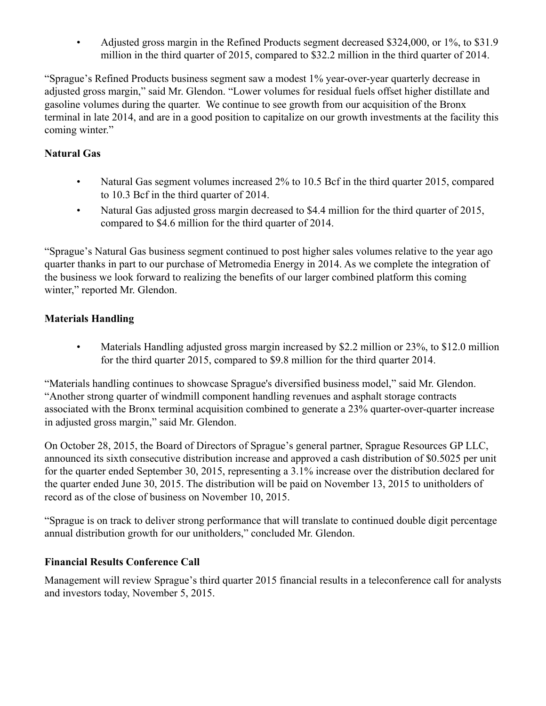• Adjusted gross margin in the Refined Products segment decreased \$324,000, or 1%, to \$31.9 million in the third quarter of 2015, compared to \$32.2 million in the third quarter of 2014.

"Sprague's Refined Products business segment saw a modest 1% year-over-year quarterly decrease in adjusted gross margin," said Mr. Glendon. "Lower volumes for residual fuels offset higher distillate and gasoline volumes during the quarter. We continue to see growth from our acquisition of the Bronx terminal in late 2014, and are in a good position to capitalize on our growth investments at the facility this coming winter."

## **Natural Gas**

- Natural Gas segment volumes increased 2% to 10.5 Bcf in the third quarter 2015, compared to 10.3 Bcf in the third quarter of 2014.
- Natural Gas adjusted gross margin decreased to \$4.4 million for the third quarter of 2015, compared to \$4.6 million for the third quarter of 2014.

"Sprague's Natural Gas business segment continued to post higher sales volumes relative to the year ago quarter thanks in part to our purchase of Metromedia Energy in 2014. As we complete the integration of the business we look forward to realizing the benefits of our larger combined platform this coming winter," reported Mr. Glendon.

# **Materials Handling**

• Materials Handling adjusted gross margin increased by \$2.2 million or 23%, to \$12.0 million for the third quarter 2015, compared to \$9.8 million for the third quarter 2014.

"Materials handling continues to showcase Sprague's diversified business model," said Mr. Glendon. "Another strong quarter of windmill component handling revenues and asphalt storage contracts associated with the Bronx terminal acquisition combined to generate a 23% quarter-over-quarter increase in adjusted gross margin," said Mr. Glendon.

On October 28, 2015, the Board of Directors of Sprague's general partner, Sprague Resources GP LLC, announced its sixth consecutive distribution increase and approved a cash distribution of \$0.5025 per unit for the quarter ended September 30, 2015, representing a 3.1% increase over the distribution declared for the quarter ended June 30, 2015. The distribution will be paid on November 13, 2015 to unitholders of record as of the close of business on November 10, 2015.

"Sprague is on track to deliver strong performance that will translate to continued double digit percentage annual distribution growth for our unitholders," concluded Mr. Glendon.

#### **Financial Results Conference Call**

Management will review Sprague's third quarter 2015 financial results in a teleconference call for analysts and investors today, November 5, 2015.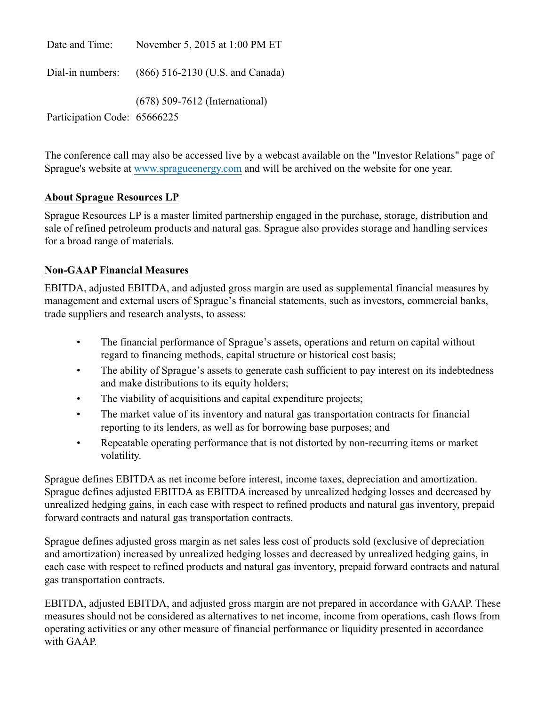| Date and Time:               | November 5, 2015 at 1:00 PM ET                    |
|------------------------------|---------------------------------------------------|
|                              | Dial-in numbers: (866) 516-2130 (U.S. and Canada) |
| Participation Code: 65666225 | $(678)$ 509-7612 (International)                  |

The conference call may also be accessed live by a webcast available on the "Investor Relations" page of Sprague's website at www.spragueenergy.com and will be archived on the website for one year.

### **About Sprague Resources LP**

Sprague Resources LP is a master limited partnership engaged in the purchase, storage, distribution and sale of refined petroleum products and natural gas. Sprague also provides storage and handling services for a broad range of materials.

### **Non-GAAP Financial Measures**

EBITDA, adjusted EBITDA, and adjusted gross margin are used as supplemental financial measures by management and external users of Sprague's financial statements, such as investors, commercial banks, trade suppliers and research analysts, to assess:

- The financial performance of Sprague's assets, operations and return on capital without regard to financing methods, capital structure or historical cost basis;
- The ability of Sprague's assets to generate cash sufficient to pay interest on its indebtedness and make distributions to its equity holders;
- The viability of acquisitions and capital expenditure projects;
- The market value of its inventory and natural gas transportation contracts for financial reporting to its lenders, as well as for borrowing base purposes; and
- Repeatable operating performance that is not distorted by non-recurring items or market volatility.

Sprague defines EBITDA as net income before interest, income taxes, depreciation and amortization. Sprague defines adjusted EBITDA as EBITDA increased by unrealized hedging losses and decreased by unrealized hedging gains, in each case with respect to refined products and natural gas inventory, prepaid forward contracts and natural gas transportation contracts.

Sprague defines adjusted gross margin as net sales less cost of products sold (exclusive of depreciation and amortization) increased by unrealized hedging losses and decreased by unrealized hedging gains, in each case with respect to refined products and natural gas inventory, prepaid forward contracts and natural gas transportation contracts.

EBITDA, adjusted EBITDA, and adjusted gross margin are not prepared in accordance with GAAP. These measures should not be considered as alternatives to net income, income from operations, cash flows from operating activities or any other measure of financial performance or liquidity presented in accordance with GAAP.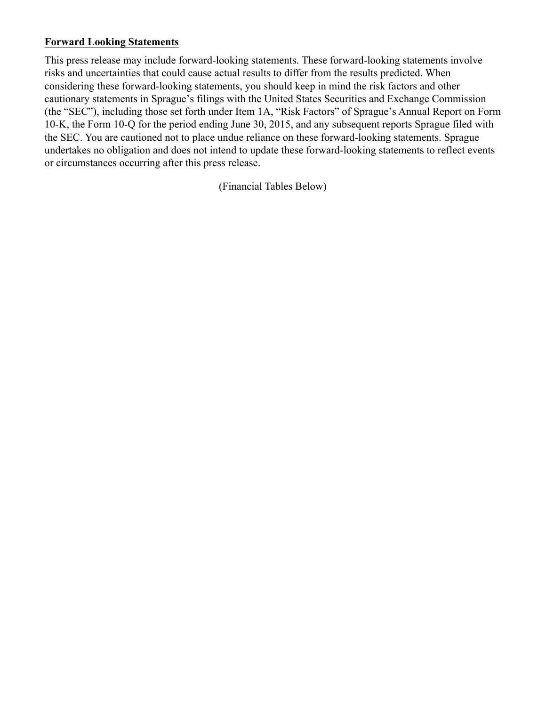#### **Forward Looking Statements**

This press release may include forward-looking statements. These forward-looking statements involve risks and uncertainties that could cause actual results to differ from the results predicted. When considering these forward-looking statements, you should keep in mind the risk factors and other cautionary statements in Sprague's filings with the United States Securities and Exchange Commission (the "SEC"), including those set forth under Item 1A, "Risk Factors" of Sprague's Annual Report on Form 10-K, the Form 10-Q for the period ending June 30, 2015, and any subsequent reports Sprague filed with the SEC. You are cautioned not to place undue reliance on these forward-looking statements. Sprague undertakes no obligation and does not intend to update these forward-looking statements to reflect events or circumstances occurring after this press release.

(Financial Tables Below)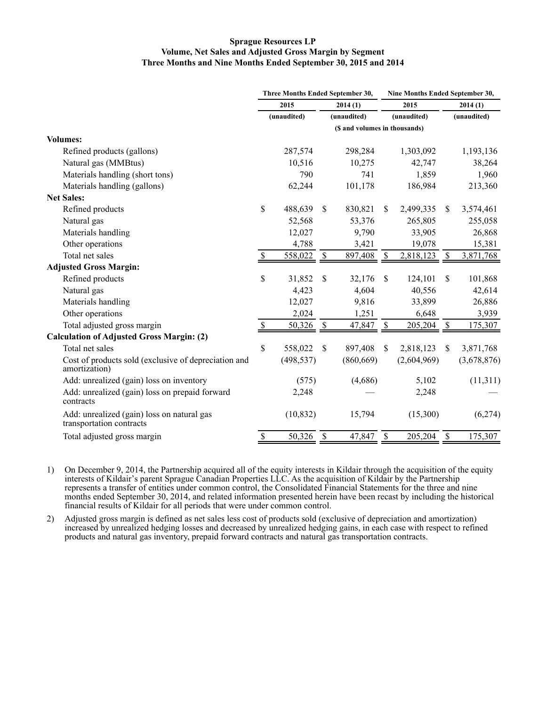#### **Sprague Resources LP Volume, Net Sales and Adjusted Gross Margin by Segment Three Months and Nine Months Ended September 30, 2015 and 2014**

|                                                                        | Three Months Ended September 30, |            |                           |             |               | Nine Months Ended September 30, |               |             |  |  |
|------------------------------------------------------------------------|----------------------------------|------------|---------------------------|-------------|---------------|---------------------------------|---------------|-------------|--|--|
|                                                                        | 2015<br>(unaudited)              |            | 2014(1)                   |             | 2015          |                                 | 2014(1)       |             |  |  |
|                                                                        |                                  |            |                           | (unaudited) |               | (unaudited)                     |               | (unaudited) |  |  |
|                                                                        | (\$ and volumes in thousands)    |            |                           |             |               |                                 |               |             |  |  |
| <b>Volumes:</b>                                                        |                                  |            |                           |             |               |                                 |               |             |  |  |
| Refined products (gallons)                                             |                                  | 287,574    |                           | 298,284     |               | 1,303,092                       |               | 1,193,136   |  |  |
| Natural gas (MMBtus)                                                   |                                  | 10,516     |                           | 10,275      |               | 42,747                          |               | 38,264      |  |  |
| Materials handling (short tons)                                        |                                  | 790        |                           | 741         |               | 1,859                           |               | 1,960       |  |  |
| Materials handling (gallons)                                           |                                  | 62,244     |                           | 101,178     |               | 186,984                         |               | 213,360     |  |  |
| <b>Net Sales:</b>                                                      |                                  |            |                           |             |               |                                 |               |             |  |  |
| Refined products                                                       | \$                               | 488,639    | <sup>\$</sup>             | 830,821     | <sup>\$</sup> | 2,499,335                       | <sup>\$</sup> | 3,574,461   |  |  |
| Natural gas                                                            |                                  | 52,568     |                           | 53,376      |               | 265,805                         |               | 255,058     |  |  |
| Materials handling                                                     |                                  | 12,027     |                           | 9,790       |               | 33,905                          |               | 26,868      |  |  |
| Other operations                                                       |                                  | 4,788      |                           | 3,421       |               | 19,078                          |               | 15,381      |  |  |
| Total net sales                                                        |                                  | 558,022    | $\boldsymbol{\mathsf{S}}$ | 897,408     | \$            | 2,818,123                       | \$            | 3,871,768   |  |  |
| <b>Adjusted Gross Margin:</b>                                          |                                  |            |                           |             |               |                                 |               |             |  |  |
| Refined products                                                       | \$                               | 31,852     | \$                        | 32,176      | $\mathbb{S}$  | 124,101                         | \$            | 101,868     |  |  |
| Natural gas                                                            |                                  | 4,423      |                           | 4,604       |               | 40,556                          |               | 42,614      |  |  |
| Materials handling                                                     |                                  | 12,027     |                           | 9,816       |               | 33,899                          |               | 26,886      |  |  |
| Other operations                                                       |                                  | 2,024      |                           | 1,251       |               | 6,648                           |               | 3,939       |  |  |
| Total adjusted gross margin                                            | $\boldsymbol{\mathsf{S}}$        | 50,326     | \$                        | 47,847      | $\sqrt{3}$    | 205,204                         | $\mathcal{S}$ | 175,307     |  |  |
| <b>Calculation of Adjusted Gross Margin: (2)</b>                       |                                  |            |                           |             |               |                                 |               |             |  |  |
| Total net sales                                                        | \$                               | 558,022    | \$.                       | 897,408     | \$            | 2,818,123                       | <sup>\$</sup> | 3,871,768   |  |  |
| Cost of products sold (exclusive of depreciation and<br>amortization)  |                                  | (498, 537) |                           | (860, 669)  |               | (2,604,969)                     |               | (3,678,876) |  |  |
| Add: unrealized (gain) loss on inventory                               |                                  | (575)      |                           | (4,686)     |               | 5,102                           |               | (11, 311)   |  |  |
| Add: unrealized (gain) loss on prepaid forward<br>contracts            |                                  | 2,248      |                           |             |               | 2,248                           |               |             |  |  |
| Add: unrealized (gain) loss on natural gas<br>transportation contracts |                                  | (10, 832)  |                           | 15,794      |               | (15,300)                        |               | (6,274)     |  |  |
| Total adjusted gross margin                                            | $\mathcal{S}$                    | 50,326     | $\frac{1}{2}$             | 47,847      | \$            | 205,204                         | $\mathcal{S}$ | 175,307     |  |  |

1) On December 9, 2014, the Partnership acquired all of the equity interests in Kildair through the acquisition of the equity interests of Kildair's parent Sprague Canadian Properties LLC. As the acquisition of Kildair by the Partnership represents a transfer of entities under common control, the Consolidated Financial Statements for the three and nine months ended September 30, 2014, and related information presented herein have been recast by including the historical financial results of Kildair for all periods that were under common control.

2) Adjusted gross margin is defined as net sales less cost of products sold (exclusive of depreciation and amortization) increased by unrealized hedging losses and decreased by unrealized hedging gains, in each case with respect to refined products and natural gas inventory, prepaid forward contracts and natural gas transportation contracts.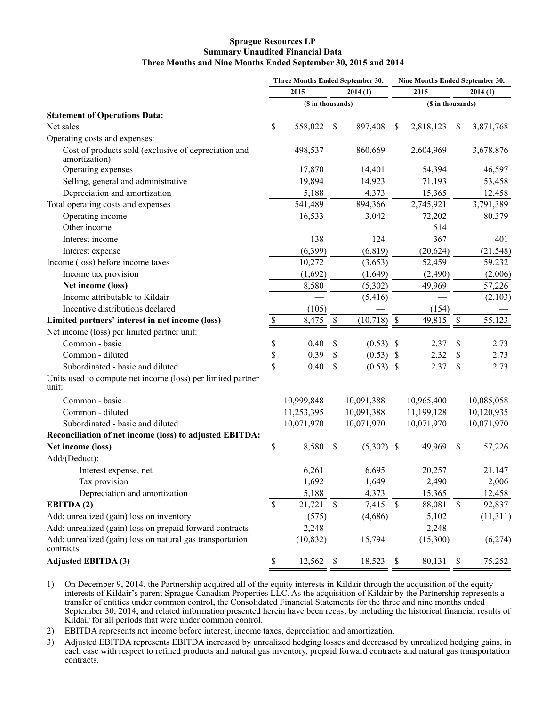#### **Sprague Resources LP Summary Unaudited Financial Data Three Months and Nine Months Ended September 30, 2015 and 2014**

|                                                                        | Three Months Ended September 30, |                   |              | Nine Months Ended September 30, |                           |                   |              |            |
|------------------------------------------------------------------------|----------------------------------|-------------------|--------------|---------------------------------|---------------------------|-------------------|--------------|------------|
|                                                                        |                                  | 2015              |              | 2014(1)                         |                           | 2015              |              | 2014(1)    |
|                                                                        |                                  | (\$ in thousands) |              |                                 |                           | (\$ in thousands) |              |            |
| <b>Statement of Operations Data:</b>                                   |                                  |                   |              |                                 |                           |                   |              |            |
| Net sales                                                              | \$                               | 558,022           | S            | 897,408                         | <sup>S</sup>              | 2,818,123         | S            | 3,871,768  |
| Operating costs and expenses:                                          |                                  |                   |              |                                 |                           |                   |              |            |
| Cost of products sold (exclusive of depreciation and<br>amortization)  |                                  | 498,537           |              | 860,669                         |                           | 2,604,969         |              | 3,678,876  |
| Operating expenses                                                     |                                  | 17,870            |              | 14,401                          |                           | 54,394            |              | 46,597     |
| Selling, general and administrative                                    |                                  | 19,894            |              | 14,923                          |                           | 71,193            |              | 53,458     |
| Depreciation and amortization                                          |                                  | 5,188             |              | 4,373                           |                           | 15,365            |              | 12,458     |
| Total operating costs and expenses                                     |                                  | 541,489           |              | 894,366                         |                           | 2,745,921         |              | 3,791,389  |
| Operating income                                                       |                                  | 16,533            |              | 3,042                           |                           | 72,202            |              | 80,379     |
| Other income                                                           |                                  |                   |              |                                 |                           | 514               |              |            |
| Interest income                                                        |                                  | 138               |              | 124                             |                           | 367               |              | 401        |
| Interest expense                                                       |                                  | (6, 399)          |              | (6, 819)                        |                           | (20, 624)         |              | (21, 548)  |
| Income (loss) before income taxes                                      |                                  | 10,272            |              | (3,653)                         |                           | 52,459            |              | 59,232     |
| Income tax provision                                                   |                                  | (1,692)           |              | (1,649)                         |                           | (2, 490)          |              | (2,006)    |
| Net income (loss)                                                      |                                  | 8,580             |              | (5,302)                         |                           | 49,969            |              | 57,226     |
| Income attributable to Kildair                                         |                                  |                   |              | (5, 416)                        |                           |                   |              | (2,103)    |
| Incentive distributions declared                                       |                                  | (105)             |              |                                 |                           | (154)             |              |            |
| Limited partners' interest in net income (loss)                        | $\mathcal{S}$                    | 8,475             | \$           | (10, 718)                       | $\boldsymbol{\mathsf{S}}$ | 49,815            | \$           | 55,123     |
| Net income (loss) per limited partner unit:                            |                                  |                   |              |                                 |                           |                   |              |            |
| Common - basic                                                         | \$                               | 0.40              | \$           | (0.53)                          | $\boldsymbol{\mathsf{S}}$ | 2.37              | \$           | 2.73       |
| Common - diluted                                                       | \$                               | 0.39              | \$           | (0.53)                          | -\$                       | 2.32              | \$           | 2.73       |
| Subordinated - basic and diluted                                       | \$                               | 0.40              | \$           | $(0.53)$ \$                     |                           | 2.37              | \$           | 2.73       |
| Units used to compute net income (loss) per limited partner<br>unit:   |                                  |                   |              |                                 |                           |                   |              |            |
| Common - basic                                                         |                                  | 10,999,848        |              | 10,091,388                      |                           | 10,965,400        |              | 10,085,058 |
| Common - diluted                                                       |                                  | 11,253,395        |              | 10,091,388                      |                           | 11,199,128        |              | 10,120,935 |
| Subordinated - basic and diluted                                       |                                  | 10,071,970        |              | 10,071,970                      |                           | 10,071,970        |              | 10,071,970 |
| Reconciliation of net income (loss) to adjusted EBITDA:                |                                  |                   |              |                                 |                           |                   |              |            |
| Net income (loss)                                                      | \$                               | 8,580             | \$           | $(5,302)$ \$                    |                           | 49,969            | \$           | 57,226     |
| Add/(Deduct):                                                          |                                  |                   |              |                                 |                           |                   |              |            |
| Interest expense, net                                                  |                                  | 6,261             |              | 6,695                           |                           | 20,257            |              | 21,147     |
| Tax provision                                                          |                                  | 1,692             |              | 1,649                           |                           | 2,490             |              | 2,006      |
| Depreciation and amortization                                          |                                  | 5,188             |              | 4,373                           |                           | 15,365            |              | 12,458     |
| EBITDA(2)                                                              | $\mathcal{S}$                    | 21,721            | $\mathbb{S}$ | 7,415                           | $\mathcal{S}$             | 88,081            | $\mathbb{S}$ | 92,837     |
| Add: unrealized (gain) loss on inventory                               |                                  | (575)             |              | (4,686)                         |                           | 5,102             |              | (11,311)   |
| Add: unrealized (gain) loss on prepaid forward contracts               |                                  | 2,248             |              |                                 |                           | 2,248             |              |            |
| Add: unrealized (gain) loss on natural gas transportation<br>contracts |                                  | (10, 832)         |              | 15,794                          |                           | (15,300)          |              | (6,274)    |
| <b>Adjusted EBITDA (3)</b>                                             | $\mathbb{S}$                     | 12,562            | $\mathbb{S}$ | 18,523                          | $\mathbb{S}$              | 80,131            | $\sqrt{\ }$  | 75,252     |

1) On December 9, 2014, the Partnership acquired all of the equity interests in Kildair through the acquisition of the equity interests of Kildair's parent Sprague Canadian Properties LLC. As the acquisition of Kildair by the Partnership represents a transfer of entities under common control, the Consolidated Financial Statements for the three and nine months ended September 30, 2014, and related information presented herein have been recast by including the historical financial results of Kildair for all periods that were under common control.

2) EBITDA represents net income before interest, income taxes, depreciation and amortization.

3) Adjusted EBITDA represents EBITDA increased by unrealized hedging losses and decreased by unrealized hedging gains, in each case with respect to refined products and natural gas inventory, prepaid forward contracts and natural gas transportation contracts.